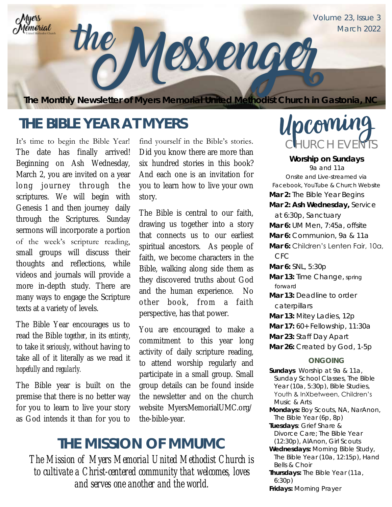

## **THE BIBLE YEAR AT MYERS**

It's time to begin the Bible Year! The date has finally arrived! Beginning on Ash Wednesday, March 2, you are invited on a year long journey through the scriptures. We will begin with Genesis 1 and then journey daily through the Scriptures. Sunday sermons will incorporate a portion of the week's scripture reading, small groups will discuss their thoughts and reflections, while videos and journals will provide a more in-depth study. There are many ways to engage the Scripture texts at a variety of levels.

The Bible Year encourages us to read the Bible *together*, in its *entirety*, to take it *seriously*, without having to take all of it literally as we read it *hopefully* and *regularly.*

The Bible year is built on the premise that there is no better way for you to learn to live your story as God intends it than for you to

find yourself in the Bible's stories. Did you know there are more than six hundred stories in this book? And each one is an invitation for you to learn how to live your own story.

The Bible is central to our faith, drawing us together into a story that connects us to our earliest spiritual ancestors. As people of faith, we become characters in the Bible, walking along side them as they discovered truths about God and the human experience. No other book, from a faith perspective, has that power.

You are encouraged to make a commitment to this year long activity of daily scripture reading, to attend worship regularly and participate in a small group. Small group details can be found inside the newsletter and on the church website MyersMemorialUMC.org/ the-bible-year.

### **THE MISSION OF MMUMC**

*The Mission of Myers Memorial United Methodist Church is to cultivate a Christ-centered community that welcomes, loves and serves one another and the world.* 

# Upcoming CHURCH EVENTS

**Worship on Sundays**  9a and 11a *Onsite and Live-streamed via Facebook, YouTube & Church Website* **Mar 2:** The Bible Year Begins **Mar 2: Ash Wednesday,** Service at 6:30p, Sanctuary **Mar 6:** UM Men, 7:45a, offsite **Mar 6:** Communion, 9a & 11a **Mar 6:** Children's Lenten Fair, 10a, CFC **Mar 6:** SNL, 5:30p **Mar 13:** Time Change, *spring forward* **Mar 13:** Deadline to order caterpillars **Mar 13:** Mitey Ladies, 12p **Mar 17:** 60+ Fellowship, 11:30a **Mar 23:** Staff Day Apart **Mar 26:** Created by God, 1-5p **ONGOING Sundays** Worship at 9a & 11a, Sunday School Classes, The Bible Year (10a, 5:30p), Bible Studies, Youth & InXbetween, Children's Music & Arts **Mondays:** Boy Scouts, NA, NarAnon, The Bible Year (6p, 8p) **Tuesdays**: Grief Share & Divorce Care; The Bible Year (12:30p), AlAnon, Girl Scouts **Wednesdays:** Morning Bible Study, The Bible Year (10a, 12:15p), Hand Bells & Choir

- **Thursdays:** The Bible Year (11a, 6:30p)
- **Fridays:** Morning Prayer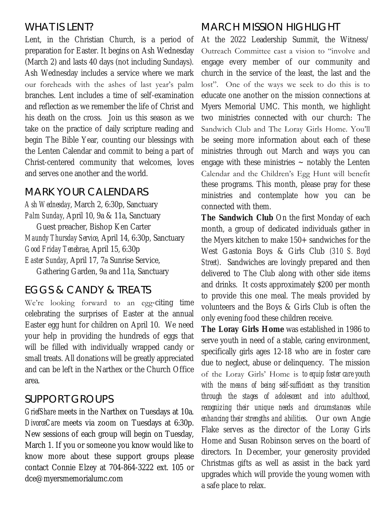### WHAT IS LENT?

Lent, in the Christian Church, is a period of preparation for Easter. It begins on Ash Wednesday (March 2) and lasts 40 days (not including Sundays). Ash Wednesday includes a service where we mark our foreheads with the ashes of last year's palm branches. Lent includes a time of self-examination and reflection as we remember the life of Christ and his death on the cross. Join us this season as we take on the practice of daily scripture reading and begin The Bible Year, counting our blessings with the Lenten Calendar and commit to being a part of Christ-centered community that welcomes, loves and serves one another and the world.

### MARK YOUR CALENDARS

*Ash Wednesday*, March 2, 6:30p, Sanctuary *Palm Sunday*, April 10, 9a & 11a, Sanctuary Guest preacher, Bishop Ken Carter *Maundy Thursday Service*, April 14, 6:30p, Sanctuary *Good Friday Tenebrae*, April 15, 6:30p *Easter Sunday*, April 17, 7a Sunrise Service,

Gathering Garden, 9a and 11a, Sanctuary

### EGGS & CANDY & TREATS

We're looking forward to an egg-citing time celebrating the surprises of Easter at the annual Easter egg hunt for children on April 10. We need your help in providing the hundreds of eggs that will be filled with individually wrapped candy or small treats. All donations will be greatly appreciated and can be left in the Narthex or the Church Office area.

### SUPPORT GROUPS

*GriefShare* meets in the Narthex on Tuesdays at 10a. *DivorceCare* meets via zoom on Tuesdays at 6:30p. New sessions of each group will begin on Tuesday, March 1. If you or someone you know would like to know more about these support groups please contact Connie Elzey at 704-864-3222 ext. 105 or dce@myersmemorialumc.com

### MARCH MISSION HIGHLIGHT

At the 2022 Leadership Summit, the Witness/ Outreach Committee cast a vision to "involve and engage every member of our community and church in the service of the least, the last and the lost". One of the ways we seek to do this is to educate one another on the mission connections at Myers Memorial UMC. This month, we highlight two ministries connected with our church: The Sandwich Club and The Loray Girls Home. You'll be seeing more information about each of these ministries through out March and ways you can engage with these ministries  $\sim$  notably the Lenten Calendar and the Children's Egg Hunt will benefit these programs. This month, please pray for these ministries and contemplate how you can be connected with them.

**The Sandwich Club** On the first Monday of each month, a group of dedicated individuals gather in the Myers kitchen to make 150+ sandwiches for the West Gastonia Boys & Girls Club *(310 S. Boyd Street)*. Sandwiches are lovingly prepared and then delivered to The Club along with other side items and drinks. It costs approximately \$200 per month to provide this one meal. The meals provided by volunteers and the Boys & Girls Club is often the only evening food these children receive.

**The Loray Girls Home** was established in 1986 to serve youth in need of a stable, caring environment, specifically girls ages 12-18 who are in foster care due to neglect, abuse or delinquency. The mission of the Loray Girls' Home is *to equip foster care youth with the means of being self-sufficient as they transition through the stages of adolescent and into adulthood, recognizing their unique needs and circumstances while enhancing their strengths and abilities*. Our own Angie Flake serves as the director of the Loray Girls Home and Susan Robinson serves on the board of directors. In December, your generosity provided Christmas gifts as well as assist in the back yard upgrades which will provide the young women with a safe place to relax.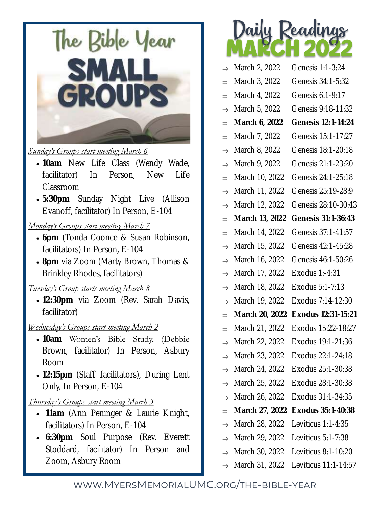

#### *Sunday's Groups start meeting March 6*

- **10am** New Life Class (Wendy Wade, facilitator) In Person, New Life Classroom
- **5:30pm** Sunday Night Live (Allison Evanoff, facilitator) In Person, E-104

#### *Monday's Groups start meeting March 7*

- **6pm** (Tonda Coonce & Susan Robinson, facilitators) In Person, E-104
- **8pm** via Zoom (Marty Brown, Thomas & Brinkley Rhodes, facilitators)

#### *Tuesday's Group starts meeting March 8*

 **12:30pm** via Zoom (Rev. Sarah Davis, facilitator)

#### *Wednesday's Groups start meeting March 2*

- **10am** Women's Bible Study, (Debbie Brown, facilitator) In Person, Asbury Room
- **12:15pm** (Staff facilitators), During Lent Only, In Person, E-104

#### *Thursday's Groups start meeting March 3*

- **11am** (Ann Peninger & Laurie Knight, facilitators) In Person, E-104
- **6:30pm** Soul Purpose (Rev. Everett Stoddard, facilitator) In Person and Zoom, Asbury Room



|               | March 2, 2022  | Genesis 1:1-3:24     |
|---------------|----------------|----------------------|
|               | March 3, 2022  | Genesis 34:1-5:32    |
|               | March 4, 2022  | Genesis 6:1-9:17     |
| $\Rightarrow$ | March 5, 2022  | Genesis 9:18-11:32   |
| $\Rightarrow$ | March 6, 2022  | Genesis 12:1-14:24   |
| $\Rightarrow$ | March 7, 2022  | Genesis 15:1-17:27   |
| $\Rightarrow$ | March 8, 2022  | Genesis 18:1-20:18   |
| $\Rightarrow$ | March 9, 2022  | Genesis 21:1-23:20   |
|               | March 10, 2022 | Genesis 24:1-25:18   |
| $\Rightarrow$ | March 11, 2022 | Genesis 25:19-28:9   |
| $\Rightarrow$ | March 12, 2022 | Genesis 28:10-30:43  |
| $\Rightarrow$ | March 13, 2022 | Genesis 31:1-36:43   |
| $\Rightarrow$ | March 14, 2022 | Genesis 37:1-41:57   |
| $\Rightarrow$ | March 15, 2022 | Genesis 42:1-45:28   |
| $\Rightarrow$ | March 16, 2022 | Genesis 46:1-50:26   |
| $\Rightarrow$ | March 17, 2022 | Exodus 1:-4:31       |
| $\Rightarrow$ | March 18, 2022 | Exodus 5:1-7:13      |
| $\Rightarrow$ | March 19, 2022 | Exodus 7:14-12:30    |
| $\Rightarrow$ | March 20, 2022 | Exodus 12:31-15:21   |
| $\Rightarrow$ | March 21, 2022 | Exodus 15:22-18:27   |
|               | March 22, 2022 | Exodus 19:1-21:36    |
|               | March 23, 2022 | Exodus 22:1-24:18    |
|               | March 24, 2022 | Exodus 25:1-30:38    |
|               | March 25, 2022 | Exodus 28:1-30:38    |
| $\rightarrow$ | March 26, 2022 | Exodus 31:1-34:35    |
|               | March 27, 2022 | Exodus 35:1-40:38    |
| $\Rightarrow$ | March 28, 2022 | Leviticus $1:1-4:35$ |
|               | March 29, 2022 | Leviticus 5:1-7:38   |
|               | March 30, 2022 | Leviticus 8:1-10:20  |

 $\Rightarrow$  March 31, 2022 Leviticus 11:1-14:57

### www.MyersMemorialUMC.org/the-bible-year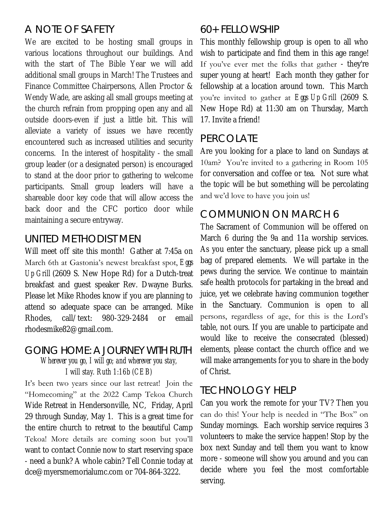### A NOTE OF SAFETY

We are excited to be hosting small groups in various locations throughout our buildings. And with the start of The Bible Year we will add additional small groups in March! The Trustees and Finance Committee Chairpersons, Allen Proctor & Wendy Wade, are asking all small groups meeting at the church refrain from propping open any and all outside doors-even if just a little bit. This will alleviate a variety of issues we have recently encountered such as increased utilities and security concerns. In the interest of hospitality - the small group leader (or a designated person) is encouraged to stand at the door prior to gathering to welcome participants. Small group leaders will have a shareable door key code that will allow access the back door and the CFC portico door while maintaining a secure entryway.

### UNITED METHODIST MEN

Will meet off site this month! Gather at 7:45a on March 6th at Gastonia's newest breakfast spot, *Eggs Up Grill* (2609 S. New Hope Rd) for a Dutch-treat breakfast and guest speaker Rev. Dwayne Burks. Please let Mike Rhodes know if you are planning to attend so adequate space can be arranged. Mike Rhodes, call/text: 980-329-2484 or email rhodesmike82@gmail.com.

#### GOING HOME: A JOURNEY WITH RUTH

*Wherever you go, I will go; and wherever you stay, I will stay. Ruth 1:16b (CEB)*

It's been two years since our last retreat! Join the "Homecoming" at the 2022 Camp Tekoa Church Wide Retreat in Hendersonville, NC, Friday, April 29 through Sunday, May 1. This is a great time for the entire church to retreat to the beautiful Camp Tekoa! More details are coming soon but you'll want to contact Connie now to start reserving space - need a bunk? A whole cabin? Tell Connie today at dce@myersmemorialumc.com or 704-864-3222.

### 60+ FELLOWSHIP

This monthly fellowship group is open to all who wish to participate and find them in this age range! If you've ever met the folks that gather - they're super young at heart! Each month they gather for fellowship at a location around town. This March you're invited to gather at *Eggs Up Grill* (2609 S. New Hope Rd) at 11:30 am on Thursday, March 17. Invite a friend!

#### PERCOLATE

Are you looking for a place to land on Sundays at 10am? You're invited to a gathering in Room 105 for conversation and coffee or tea. Not sure what the topic will be but something will be percolating and we'd love to have you join us!

### COMMUNION ON MARCH 6

The Sacrament of Communion will be offered on March 6 during the 9a and 11a worship services. As you enter the sanctuary, please pick up a small bag of prepared elements. We will partake in the pews during the service. We continue to maintain safe health protocols for partaking in the bread and juice, yet we celebrate having communion together in the Sanctuary. Communion is open to all persons, regardless of age, for this is the Lord's table, not ours. If you are unable to participate and would like to receive the consecrated (blessed) elements, please contact the church office and we will make arrangements for you to share in the body of Christ.

### TECHNOLOGY HELP

Can you work the remote for your TV? Then you can do this! Your help is needed in "The Box" on Sunday mornings. Each worship service requires 3 volunteers to make the service happen! Stop by the box next Sunday and tell them you want to know more - someone will show you around and you can decide where you feel the most comfortable serving.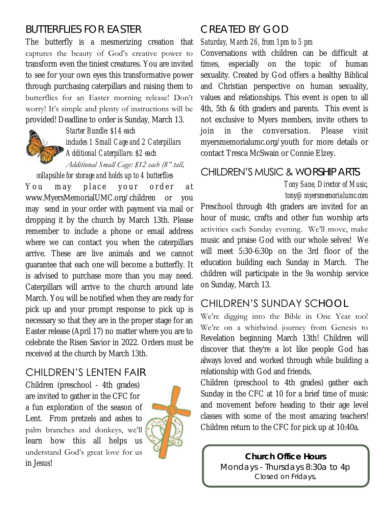### BUTTERFLIES FOR EASTER

The butterfly is a mesmerizing creation that captures the beauty of God's creative power to transform even the tiniest creatures. You are invited to see for your own eyes this transformative power through purchasing caterpillars and raising them to butterflies for an Easter morning release! Don't worry! It's simple and plenty of instructions will be provided! Deadline to order is Sunday, March 13.



*Starter Bundle: \$14 each includes 1 Small Cage and 2 Caterpillars Additional Caterpillars: \$2 each*

*Additional Small Cage: \$12 each (8" tall, collapsible for storage and holds up to 4 butterflies*

You may place your order at [www.MyersMemorialUMC.org/children or you](https://forms.gle/xGnHf4B99yQ1LSREA)  [may s](https://forms.gle/xGnHf4B99yQ1LSREA)end in your order with payment via mail or dropping it by the church by March 13th. Please remember to include a phone or email address where we can contact you when the caterpillars arrive. These are live animals and we cannot guarantee that each one will become a butterfly. It is advised to purchase more than you may need. Caterpillars will arrive to the church around late March. You will be notified when they are ready for pick up and your prompt response to pick up is necessary so that they are in the proper stage for an Easter release (April 17) no matter where you are to celebrate the Risen Savior in 2022. Orders must be received at the church by March 13th.

### CHILDREN'S LENTEN FAIR

Children (preschool - 4th grades) are invited to gather in the CFC for a fun exploration of the season of Lent. From pretzels and ashes to palm branches and donkeys, we'll learn how this all helps us understand God's great love for us in Jesus!



### CREATED BY GOD

*Saturday, March 26, from 1pm to 5 pm*

Conversations with children can be difficult at times, especially on the topic of human sexuality. Created by God offers a healthy Biblical and Christian perspective on human sexuality, values and relationships. This event is open to all 4th, 5th & 6th graders and parents. This event is not exclusive to Myers members, invite others to join in the conversation. Please visit myersmemorialumc.org/youth for more details or contact Tresca McSwain or Connie Elzey.

### CHILDREN'S MUSIC & WORSHIP ARTS

*Tony Sane, Director of Music, tony@myersmemorialumc.com*

Preschool through 4th graders are invited for an hour of music, crafts and other fun worship arts activities each Sunday evening. We'll move, make music and praise God with our whole selves! We will meet 5:30-6:30p on the 3rd floor of the education building each Sunday in March. The children will participate in the 9a worship service on Sunday, March 13.

### CHILDREN'S SUNDAY SCHOOL

We're digging into the Bible in One Year too! We're on a whirlwind journey from Genesis to Revelation beginning March 13th! Children will discover that they're a lot like people God has always loved and worked through while building a relationship with God and friends.

Children (preschool to 4th grades) gather each Sunday in the CFC at 10 for a brief time of music and movement before heading to their age level classes with some of the most amazing teachers! Children return to the CFC for pick up at 10:40a.

> **Church Office Hours**  Mondays - Thursdays 8:30a to 4p *Closed on Fridays,*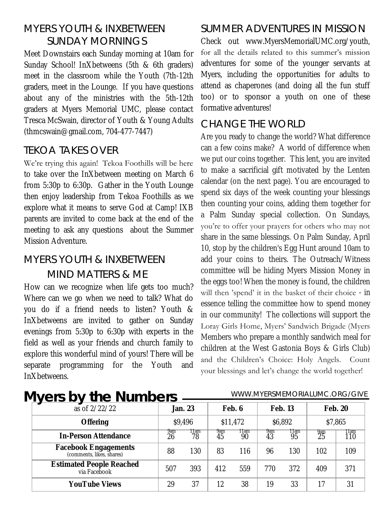### MYERS YOUTH & INXBETWEEN SUNDAY MORNINGS

Meet Downstairs each Sunday morning at 10am for Sunday School! InXbetweens (5th & 6th graders) meet in the classroom while the Youth (7th-12th graders, meet in the Lounge. If you have questions about any of the ministries with the 5th-12th graders at Myers Memorial UMC, please contact Tresca McSwain, director of Youth & Young Adults (thmcswain@gmail.com, 704-477-7447)

### TEKOA TAKES OVER

We're trying this again! Tekoa Foothills will be here to take over the InXbetween meeting on March 6 from 5:30p to 6:30p. Gather in the Youth Lounge then enjoy leadership from Tekoa Foothills as we explore what it means to serve God at Camp! IXB parents are invited to come back at the end of the meeting to ask any questions about the Summer Mission Adventure.

### MYERS YOUTH & INXBETWEEN MIND MATTERS & ME

How can we recognize when life gets too much? Where can we go when we need to talk? What do you do if a friend needs to listen? Youth & InXbetweens are invited to gather on Sunday evenings from 5:30p to 6:30p with experts in the field as well as your friends and church family to explore this wonderful mind of yours! There will be separate programming for the Youth and InXbetweens.

### SUMMER ADVENTURES IN MISSION

Check out www.MyersMemorialUMC.org/youth, for all the details related to this summer's mission adventures for some of the younger servants at Myers, including the opportunities for adults to attend as chaperones (and doing all the fun stuff too) or to sponsor a youth on one of these formative adventures!

### CHANGE THE WORLD

Are you ready to change the world? What difference can a few coins make? A world of difference when we put our coins together. This lent, you are invited to make a sacrificial gift motivated by the Lenten calendar (on the next page). You are encouraged to spend six days of the week counting your blessings then counting your coins, adding them together for a Palm Sunday special collection. On Sundays, you're to offer your prayers for others who may not share in the same blessings. On Palm Sunday, April 10, stop by the children's Egg Hunt around 10am to add your coins to theirs. The Outreach/Witness committee will be hiding Myers Mission Money in the eggs too! When the money is found, the children will then 'spend' it in the basket of their choice - in essence telling the committee how to spend money in our community! The collections will support the Loray Girls Home, Myers' Sandwich Brigade (Myers Members who prepare a monthly sandwich meal for children at the West Gastonia Boys & Girls Club) and the Children's Choice: Holy Angels. Count your blessings and let's change the world together!

### **Myers by the Numbers**

#### WWW.MYERSMEMORIALUMC.ORG/GIVE

| $\mathsf{I}$ y $\mathsf{I}$ J<br>◡<br>UTO TIUTINOTO<br>as of 2/22/22 |           | Jan. 23   |           | Feb. 6           |           | Feb. 13    | Feb. 20   |              |
|----------------------------------------------------------------------|-----------|-----------|-----------|------------------|-----------|------------|-----------|--------------|
| Offering                                                             | \$9,496   |           | \$11,472  |                  | \$6,892   |            | \$7,865   |              |
| In-Person Attendance                                                 | 9am<br>26 | ∏am<br>78 | 9am<br>45 | <b>Ham</b><br>90 | 9am<br>43 | 11am<br>95 | 9am<br>25 | l 1am<br>110 |
| Facebook Engagements<br>(comments, likes, shares)                    | 88        | 130       | 83        | 116              | 96        | 130        | 102       | 109          |
| <b>Estimated People Reached</b><br>via Facebook                      | 507       | 393       | 412       | 559              | 770       | 372        | 409       | 371          |
| YouTube Views                                                        | 29        | 37        | 12        | 38               | 19        | 33         |           | 31           |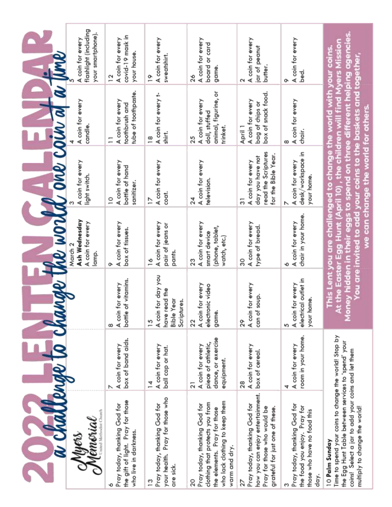| a challenge to cha                                                                                                                                                                                                    |                                                                                  |                                                                                          |                                                                           | nge the world one coin a a time                                                                                                                                                                                                                                                                                               |                                                                             |                                                                      |
|-----------------------------------------------------------------------------------------------------------------------------------------------------------------------------------------------------------------------|----------------------------------------------------------------------------------|------------------------------------------------------------------------------------------|---------------------------------------------------------------------------|-------------------------------------------------------------------------------------------------------------------------------------------------------------------------------------------------------------------------------------------------------------------------------------------------------------------------------|-----------------------------------------------------------------------------|----------------------------------------------------------------------|
| United Methodist Church<br>Memorial<br>ryes                                                                                                                                                                           |                                                                                  |                                                                                          | Ash Wednesday<br>A coin for every<br>March 2<br>lamp.                     | A coin for every<br>light switch.                                                                                                                                                                                                                                                                                             | A coin for every<br>candle.                                                 | flashlight (including<br>your smartphone).<br>A coin for every       |
| the gift of light. Pray for those<br>Pray today, thanking God for<br>who live in darkness.                                                                                                                            | box of band aids.<br>A coin for every                                            | bottle of vitamins.<br>A coin for every<br>œ                                             | A coin for every<br>box of tissues.<br>ᡐ                                  | A coin for every<br>bottle of hand<br>sanitizer.<br>$\overline{a}$                                                                                                                                                                                                                                                            | tube of toothpaste.<br>A coin for every<br>toothbrush and                   | covid-19 mask in<br>A coin for every<br>your house.<br>$\frac{1}{2}$ |
| your health. Pray for those who<br>Pray today, thanking God for<br>are sick.<br>$\frac{3}{2}$                                                                                                                         | A coin for every<br>ball cap or hat.<br>$\overline{4}$                           | A coin for day you<br>have read the<br><b>Bible Year</b><br>Scriptures.<br>$\frac{5}{2}$ | A coin for every<br>pair of jeans or<br>pants.<br>$\frac{8}{1}$           | A coin for every<br>coat.<br>$\geq$                                                                                                                                                                                                                                                                                           | A coin for every t-<br>shirt.<br>$\frac{8}{1}$                              | A coin for every<br>sweatshirt.<br>$\tilde{ }$                       |
| who lack clothing to keep them<br>clothing that protects you from<br>Pray today, thanking God for<br>the elements. Pray for those<br>warm and dry.                                                                    | dance, or exercise<br>piece of athletic,<br>A coin for every<br>equipment.<br>21 | A coin for every<br>electronic video<br>game.<br>22                                      | A coin for every<br>(phone, tablet,<br>smart device<br>watch, etc.)<br>23 | A coin for every<br>television.<br>24                                                                                                                                                                                                                                                                                         | animal, figurine, or<br>A coin for every<br>doll, stuffed<br>trinket.<br>25 | A coin for every<br>board or card<br>game<br>26                      |
| how you can enjoy entertainment.<br>Pray today, thanking God for<br>Pray for those who would be<br>grateful for just one of these.<br>22                                                                              | A coin for every<br>box of cereal.<br>28                                         | A coin for every<br>can of soup.<br>29                                                   | A coin for every<br>type of bread.<br>్ల                                  | read the Scriptures<br>for the Bible Year.<br>day you have not<br>A coin for every<br>5                                                                                                                                                                                                                                       | box of snack food.<br>A coin for every<br>bag of chips or<br>April 1        | A coin for every<br>jar of peanut<br>butter.<br>Σ                    |
| Pray today, thanking God for<br>the food you enjoy. Pray for<br>those who have no food this<br>day.                                                                                                                   | room in your home.<br>A coin for every                                           | electrical outlet in<br>A coin for every<br>your home.                                   | chair in your home.<br>A coin for every                                   | desk/workspace in<br>A coin for every<br>your home.                                                                                                                                                                                                                                                                           | A coin for every<br>chair.<br>ω                                             | A coin for every<br>bed.<br>ᡐ                                        |
| Time to spend your coins to change the world! Stop by<br>the Egg Hunt Table between services to 'spend' your<br>coins! Select a jar to add your coins and let them<br>multiply to change the world!<br>10 Palm Sunday |                                                                                  |                                                                                          |                                                                           | Money hidden in their eggs to spend on three different helping agencies<br>At the Easter Egg Hunt (April 10), the children will find Myers Missio<br>This Lent you are challenged to change the world with your coins<br>'ou are invited to add your coins to the baskets and together,<br>we can change the world for others |                                                                             |                                                                      |